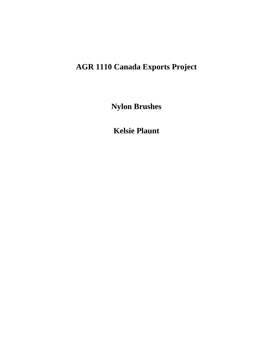# **AGR 1110 Canada Exports Project**

**Nylon Brushes**

**Kelsie Plaunt**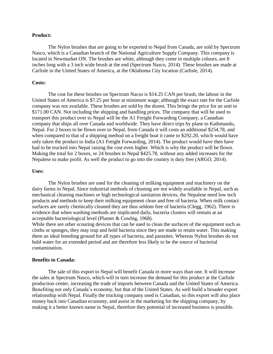#### **Product:**

The Nylon brushes that are going to be exported to Nepal from Canada, are sold by Spectrum Nasco, which is a Canadian branch of the National Agriculture Supply Company. This company is located in Newmarket ON. The brushes are white, although they come in multiple colours, are 8 inches long with a 3 inch wide brush at the end (Spectrum Nasco, 2014). These brushes are made at Carlisle in the United States of America, at the Oklahoma City location (Carlisle, 2014).

#### **Costs:**

The cost for these brushes on Spectrum Nacso is \$14.25 CAN per brush, the labour in the United States of America is \$7.25 per hour at minimum wage; although the exact rate for the Carlisle company was not available. These brushes are sold by the dozen. This brings the price for an unit to \$171.00 CAN. Not including the shipping and handling prices. The company that will be used to transport this product over to Nepal will be the A1 Freight Forwarding Company, a Canadian company that ships all over Canada and worldwide. They have direct trips by plane to Kathmandu, Nepal. For 2 boxes to be flown over to Nepal, from Canada it will costs an additional \$254.78, and when compared to that of a shipping method on a freight boat it came to \$292.20, which would have only taken the product to India (A1 Freight Forwarding, 2014). The product would have then have had to be trucked into Nepal raising the cost even higher. Which is why the product will be flown. Making the total for 2 boxes, or 24 brushes to Nepal \$425.78, without any added increases for the Nepalese to make profit. As well the product to go into the country is duty free (ARGO, 2014).

#### **Uses:**

The Nylon brushes are used for the cleaning of milking equipment and machinery on the dairy farms in Nepal. Since industrial methods of cleaning are not widely available in Nepal, such as mechanical cleaning machines or high technological sanitation devices, the Nepalese need low tech products and methods to keep their milking equipment clean and free of bacteria. When milk contact surfaces are rarely chemically cleaned they are thus seldom free of bacteria (Clegg, 1962). There is evidence that when washing methods are implicated daily, bacteria clusters will remain at an acceptable bacteriological level (Plamer & Cowhig, 1968).

While there are other scouring devices that can be used to clean the surfaces of the equipment such as cloths or sponges, they may trap and hold bacteria since they are made to retain water. This making them an ideal breeding ground for all types of bacteria, and parasites. Whereas Nylon brushes do not hold water for an extended period and are therefore less likely to be the source of bacterial contamination**.** 

#### **Benefits to Canada:**

The sale of this export to Nepal will benefit Canada in more ways than one. It will increase the sales at Spectrum Nasco, which will in turn increase the demand for this product at the Carlisle production center, increasing the trade of imports between Canada and the United States of America. Benefiting not only Canada's economy, but that of the United States. As well build a broader export relationship with Nepal. Finally the trucking company used is Canadian, so this export will also place money back into Canadian economy, and assist in the marketing for the shipping company, by making it a better known name in Nepal, therefore they potential of increased business is possible.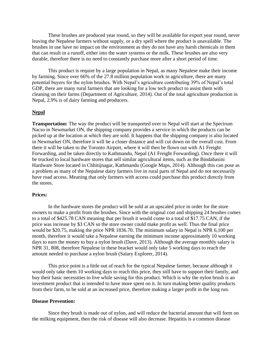These brushes are produced year round, so they will be available for export year round, never leaving the Nepalese farmers without supply, or a dry spell where the product is unavailable. The brushes in use have no impact on the environment as they do not have any harsh chemicals in them that can result in a runoff, either into the water systems or the milk. These brushes are also very durable, therefore there is no need to constantly purchase more after a short period of time.

This product is require by a large population in Nepal, as many Nepalese make their income by farming. Since over 66% of the 27.8 million population work in agriculture, there are many potential buyers for the nylon brushes. With Nepal's agriculture contributing 39% of Nepal's total GDP, there are many rural farmers that are looking for a low tech product to assist them with cleaning on their farms (Department of Agriculture, 2014). Out of the total agriculture production in Nepal, 2.9% is of dairy farming and producers.

#### **Nepal**

**Transportation:** The way the product will be transported over to Nepal will start at the Spectrum Nacso in Newmarket ON, the shipping company provides a service in which the products can be picked up at the location at which they are sold. It happens that the shipping company is also located in Newmarket ON, therefore it will be a closer distance and will cut down on the overall cost. From there it will be taken to the Toronto Airport, where it will then be flown out with A1 Freight Forwarding, and be taken directly to Kathmandu, Nepal (A1 Freight Forwarding). Once there it will be trucked to local hardware stores that sell similar agricultural items, such as the Bindabasini Hardware Store located in Chhitijnagar, Kathmandu (Google Maps, 2014). Although this can pose as a problem as many of the Nepalese dairy farmers live in rural parts of Nepal and do not necessarily have road access. Meaning that only farmers with access could purchase this product directly from the stores.

### **Prices:**

In the hardware stores the product will be sold at an upscaled price in order for the store owners to make a profit from the brushes. Since with the original cost and shipping 24 brushes comes to a total of \$425.78 CAN meaning that per brush it would come to a total of \$17.75 CAN, if the price was increase by \$3 CAN so the store owner could make profit as well. Thus the final price would be \$20.75, making the price NPR 1836.70. The minimum salary in Nepal is NPR 6,100 per month, therefore it would take a Nepalese earning the minimum income approximately 10 working days to earn the money to buy a nylon brush (Dave, 2013). Although the average monthly salary is NPR 31, 808, therefore Nepalese in these bracket would only take 5 working days to reach the amount needed to purchase a nylon brush (Salary Explorer, 2014).

This price point is a little out of reach for the typical Nepalese farmer, because although it would only take them 10 working days to reach this price, they still have to support their family, and buy their basic necessities to live while saving for this product. Which is why the nylon brush is an investment product that is intended to have more spent on it. In turn making better quality products from their farm, to be sold at an increased price, therefore making a larger profit in the long run.

#### **Disease Prevention:**

Since they brush is made out of nylon, and will reduce the bacterial amount that will form on the milking equipment, then the risk of disease will also decrease. Hepatitis is a common disease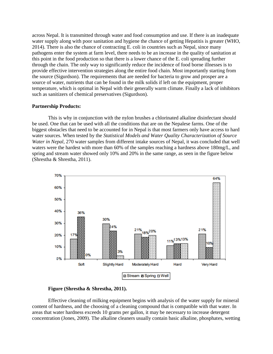across Nepal. It is transmitted through water and food consumption and use. If there is an inadequate water supply along with poor sanitation and hygiene the chance of getting Hepatitis is greater (WHO, 2014). There is also the chance of contracting E. coli in countries such as Nepal, since many pathogens enter the system at farm level, there needs to be an increase in the quality of sanitation at this point in the food production so that there is a lower chance of the E. coli spreading further through the chain. The only way to significantly reduce the incidence of food borne illnesses is to provide effective intervention strategies along the entire food chain. Most importantly starting from the source (Sigurdson). The requirements that are needed for bacteria to grow and prosper are a source of water, nutrients that can be found in the milk solids if left on the equipment, proper temperature, which is optimal in Nepal with their generally warm climate. Finally a lack of inhibitors such as sanitizers of chemical preservatives (Sigurdson).

#### **Partnership Products:**

This is why in conjunction with the nylon brushes a chlorinated alkaline disinfectant should be used. One that can be used with all the conditions that are on the Nepalese farms. One of the biggest obstacles that need to be accounted for in Nepal is that most farmers only have access to hard water sources. When tested by the *Statistical Models and Water Quality Characterization of Source Water in Nepal,* 270 water samples from different intake sources of Nepal, it was concluded that well waters were the hardest with more than 60% of the samples reaching a hardness above 180mg/L, and spring and stream water showed only 10% and 20% in the same range, as seen in the figure below (Shrestha & Shrestha, 2011).



#### **Figure (Shrestha & Shrestha, 2011).**

Effective cleaning of milking equipment begins with analysis of the water supply for mineral content of hardness, and the choosing of a cleaning compound that is compatible with that water. In areas that water hardness exceeds 10 grams per gallon, it may be necessary to increase detergent concentration (Jones, 2009). The alkaline cleaners usually contain basic alkaline, phosphates, wetting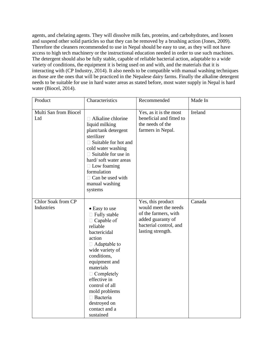agents, and chelating agents. They will dissolve milk fats, proteins, and carbohydrates, and loosen and suspend other solid particles so that they can be removed by a brushing action (Jones, 2009). Therefore the cleaners recommended to use in Nepal should be easy to use, as they will not have access to high tech machinery or the instructional education needed in order to use such machines. The detergent should also be fully stable, capable of reliable bacterial action, adaptable to a wide variety of conditions, the equipment it is being used on and with, and the materials that it is interacting with (CP Industry, 2014). It also needs to be compatible with manual washing techniques as those are the ones that will be practiced in the Nepalese dairy farms. Finally the alkaline detergent needs to be suitable for use in hard water areas as stated before, most water supply in Nepal is hard water (Biocel, 2014).

| Product                          | Characteristics                                                                                                                                                                                                                                                                                                                 | Recommended                                                                                                                           | Made In |
|----------------------------------|---------------------------------------------------------------------------------------------------------------------------------------------------------------------------------------------------------------------------------------------------------------------------------------------------------------------------------|---------------------------------------------------------------------------------------------------------------------------------------|---------|
| Multi San from Biocel<br>Ltd     | $\Box$ Alkaline chlorine<br>liquid milking<br>plant/tank detergent<br>sterilizer<br>$\Box$ Suitable for hot and<br>cold water washing<br>$\Box$ Suitable for use in<br>hard/soft water areas<br>$\Box$ Low foaming<br>formulation<br>$\Box$ Can be used with<br>manual washing<br>systems                                       | Yes, as it is the most<br>beneficial and fitted to<br>the needs of the<br>farmers in Nepal.                                           | Ireland |
| Chlor Soak from CP<br>Industries | • Easy to use<br>$\Box$ Fully stable<br>$\Box$ Capable of<br>reliable<br>bactericidal<br>action<br>$\Box$ Adaptable to<br>wide variety of<br>conditions,<br>equipment and<br>materials<br>$\Box$ Completely<br>effective in<br>control of all<br>mold problems<br>$\Box$ Bacteria<br>destroyed on<br>contact and a<br>sustained | Yes, this product<br>would meet the needs<br>of the farmers, with<br>added guaranty of<br>bacterial control, and<br>lasting strength. | Canada  |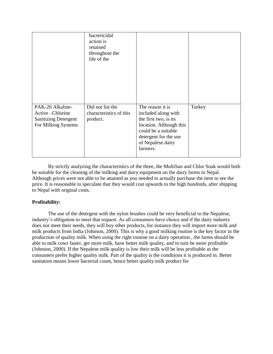|                                                                                           | bactericidal<br>action is<br>retained<br>throughout the<br>life of the |                                                                                                                                                                              |        |
|-------------------------------------------------------------------------------------------|------------------------------------------------------------------------|------------------------------------------------------------------------------------------------------------------------------------------------------------------------------|--------|
| PAK-20 Alkaline-<br>Active-Chlorine<br><b>Sanitizing Detergent</b><br>For Milking Systems | Did not list the<br>characteristics of this<br>product.                | The reason it is<br>included along with<br>the first two, is its<br>location. Although this<br>could be a suitable<br>detergent for the use<br>of Nepalese dairy<br>farmers. | Turkey |

By strictly analyzing the characteristics of the three, the MultiSan and Chlor Soak would both be suitable for the cleaning of the milking and dairy equipment on the dairy farms in Nepal. Although prices were not able to be attained as you needed to actually purchase the item to see the price. It is reasonable to speculate that they would cost upwards to the high hundreds, after shipping to Nepal with original costs.

# **Profitability:**

The use of the detergent with the nylon brushes could be very beneficial to the Nepalese, industry's obligation to meet that request. As all consumers have choice and if the dairy industry does not meet their needs, they will buy other products, for instance they will import more milk and milk products from India (Johnson, 2000). This is why a good milking routine is the key factor in the production of quality milk. When using the right routine on a dairy operation , the farms should be able to milk cows faster, get more milk, have better milk quality, and in turn be more profitable (Johnson, 2000). If the Nepalese milk quality is low their milk will be less profitable as the consumers prefer higher quality milk. Part of the quality is the conditions it is produced in. Better sanitation means lower bacterial count, hence better quality milk product for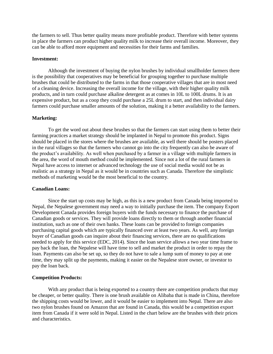the farmers to sell. Thus better quality means more profitable product. Therefore with better systems in place the farmers can product higher quality milk to increase their overall income. Moreover, they can be able to afford more equipment and necessities for their farms and families.

#### **Investment:**

Although the investment of buying the nylon brushes by individual smallholder farmers there is the possibility that cooperatives may be beneficial for grouping together to purchase multiple brushes that could be distributed to the farms in that those cooperative villages that are in most need of a cleaning device. Increasing the overall income for the village, with their higher quality milk products, and in turn could purchase alkaline detergent as at comes in 10L to 100L drums. It is an expensive product, but as a coop they could purchase a 25L drum to start, and then individual dairy farmers could purchase smaller amounts of the solution, making it a better availability to the farmers.

#### **Marketing:**

To get the word out about these brushes so that the farmers can start using them to better their farming practices a market strategy should be implanted in Nepal to promote this product. Signs should be placed in the stores where the brushes are available, as well there should be posters placed in the rural villages so that the farmers who cannot go into the city frequently can also be aware of the product's availability. As well when purchased by a farmer in a village with multiple farmers in the area, the word of mouth method could be implemented. Since not a lot of the rural farmers in Nepal have access to internet or advanced technology the use of social media would not be as realistic as a strategy in Nepal as it would be in countries such as Canada. Therefore the simplistic methods of marketing would be the most beneficial to the country.

#### **Canadian Loans:**

Since the start up costs may be high, as this is a new product from Canada being imported to Nepal, the Nepalese government may need a way to initially purchase the item. The company Export Development Canada provides foreign buyers with the funds necessary to finance the purchase of Canadian goods or services. They will provide loans directly to them or through another financial institution, such as one of their own banks. These loans can be provided to foreign companies purchasing capital goods which are typically financed over at least two years. As well, any foreign buyer of Canadian goods can inquire about their financing services, there are no qualifications needed to apply for this service (EDC, 2014). Since the loan service allows a two year time frame to pay back the loan, the Nepalese will have time to sell and market the product in order to repay the loan. Payments can also be set up, so they do not have to sale a lump sum of money to pay at one time, they may split up the payments, making it easier on the Nepalese store owner, or investor to pay the loan back.

#### **Competition Products:**

With any product that is being exported to a country there are competition products that may be cheaper, or better quality. There is one brush available on Alibaba that is made in China, therefore the shipping costs would be lower, and it would be easier to implement into Nepal. There are also two nylon brushes found on Amazon that are found in Canada, this would be a competition export item from Canada if it were sold in Nepal. Listed in the chart below are the brushes with their prices and characteristics.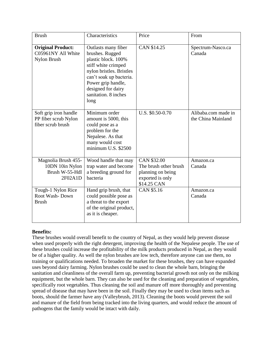| <b>Brush</b>                                                        | Characteristics                                                                                                                                                                                                         | Price                                                                                        | From                                      |
|---------------------------------------------------------------------|-------------------------------------------------------------------------------------------------------------------------------------------------------------------------------------------------------------------------|----------------------------------------------------------------------------------------------|-------------------------------------------|
| <b>Original Product:</b><br>C05961NY All White<br>Nylon Brush       | Outlasts many fiber<br>brushes. Rugged<br>plastic block. 100%<br>stiff white crimped<br>nylon bristles. Bristles<br>can't soak up bacteria.<br>Power grip handle,<br>designed for dairy<br>sanitation. 8 inches<br>long | CAN \$14.25                                                                                  | Spectrum-Nasco.ca<br>Canada               |
| Soft grip iron handle<br>PP fiber scrub Nylon<br>fiber scrub brush  | Minimum order<br>amount is 5000, this<br>could pose as a<br>problem for the<br>Nepalese. As that<br>many would cost<br>minimum U.S. \$2500                                                                              | U.S. \$0.50-0.70                                                                             | Alibaba.com made in<br>the China Mainland |
| Magnolia Brush 455-<br>10DN 10in Nylon<br>Brush W-55-Hdl<br>2F02A1D | Wood handle that may<br>trap water and become<br>a breeding ground for<br>bacteria                                                                                                                                      | CAN \$32.00<br>The brush other brush<br>planning on being<br>exported is only<br>\$14.25 CAN | Amazon.ca<br>Canada                       |
| Tough-1 Nylon Rice<br>Root Wash-Down<br><b>Brush</b>                | Hand grip brush, that<br>could possible pose as<br>a threat to the export<br>of the original product,<br>as it is cheaper.                                                                                              | CAN \$5.16                                                                                   | Amazon.ca<br>Canada                       |

# **Benefits:**

These brushes would overall benefit to the country of Nepal, as they would help prevent disease when used properly with the right detergent, improving the health of the Nepalese people. The use of these brushes could increase the profitability of the milk products produced in Nepal, as they would be of a higher quality. As well the nylon brushes are low tech, therefore anyone can use them, no training or qualifications needed. To broaden the market for these brushes, they can have expanded uses beyond dairy farming. Nylon brushes could be used to clean the whole barn, bringing the sanitation and cleanliness of the overall farm up, preventing bacterial growth not only on the milking equipment, but the whole barn. They can also be used for the cleaning and preparation of vegetables, specifically root vegetables. Thus cleaning the soil and manure off more thoroughly and preventing spread of disease that may have been in the soil. Finally they may be used to clean items such as boots, should the farmer have any (Valleybrush, 2013). Cleaning the boots would prevent the soil and manure of the field from being tracked into the living quarters, and would reduce the amount of pathogens that the family would be intact with daily.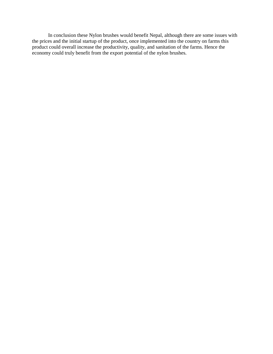In conclusion these Nylon brushes would benefit Nepal, although there are some issues with the prices and the initial startup of the product, once implemented into the country on farms this product could overall increase the productivity, quality, and sanitation of the farms. Hence the economy could truly benefit from the export potential of the nylon brushes.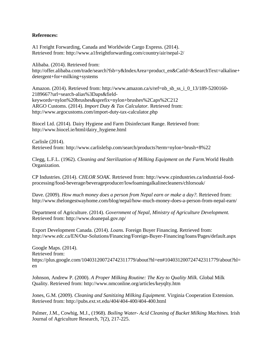## **References:**

A1 Freight Forwarding, Canada and Worldwide Cargo Express. (2014). Retrieved from: http://www.a1freightforwarding.com/country/air/nepal-2/

Alibaba. (2014). Retrieved from: http://offer.alibaba.com/trade/search?fsb=y&IndexArea=product\_en&CatId=&SearchText=alkaline+ detergent+for+milking+systems

Amazon. (2014). Retrieved from: http://www.amazon.ca/s/ref=nb\_sb\_ss\_i\_0\_13/189-5200160- 2189667?url=search-alias%3Daps&fieldkeywords=nylon%20brushes&sprefix=nylon+brushes%2Caps%2C212 ARGO Customs. (2014). *Import Duty & Tax Calculator.* Retrieved from: http://www.argocustoms.com/import-duty-tax-calculator.php

Biocel Ltd. (2014). Dairy Hygiene and Farm Disinfectant Range. Retrieved from: http://www.biocel.ie/html/dairy\_hygiene.html

Carlisle (2014). Retrieved from: http://www.carlislefsp.com/search/products?term=nylon+brush+8%22

Clegg, L.F.L. (1962). *Cleaning and Sterilization of Milking Equipment on the Farm*.World Health Organization.

CP Industries. (2014). *CHLOR SOAK.* Retrieved from: http://www.cpindustries.ca/industrial-foodprocessing/food-beverage/beverageproducer/lowfoamingalkalinecleaners/chlorsoak/

Dave. (2009). *How much money does a person from Nepal earn or make a day?*. Retrieved from: http://www.thelongestwayhome.com/blog/nepal/how-much-money-does-a-person-from-nepal-earn/

Department of Agriculture. (2014). *Government of Nepal, Ministry of Agriculture Development.*  Retrieved from: http://www.doanepal.gov.np/

Export Development Canada. (2014). *Loans.* Foreign Buyer Financing. Retrieved from: http://www.edc.ca/EN/Our-Solutions/Financing/Foreign-Buyer-Financing/loans/Pages/default.aspx

Google Maps. (2014). Retrieved from: https://plus.google.com/104031200724742311779/about?hl=en#104031200724742311779/about?hl= en

Johnson, Andrew P. (2000). *A Proper Milking Routine: The Key to Quality Milk.* Global Milk Quality. Retrieved from: http://www.nmconline.org/articles/keyqlty.htm

Jones, G.M. (2009). *Cleaning and Sanitizing Milking Equipment.* Virginia Cooperation Extension. Retrieved from: http://pubs.ext.vt.edu/404/404-400/404-400.html

Palmer, J.M., Cowhig, M.J., (1968). *Boiling Water- Acid Cleaning of Bucket Milking Machines.* Irish Journal of Agriculture Research*,* 7(2), 217-225.